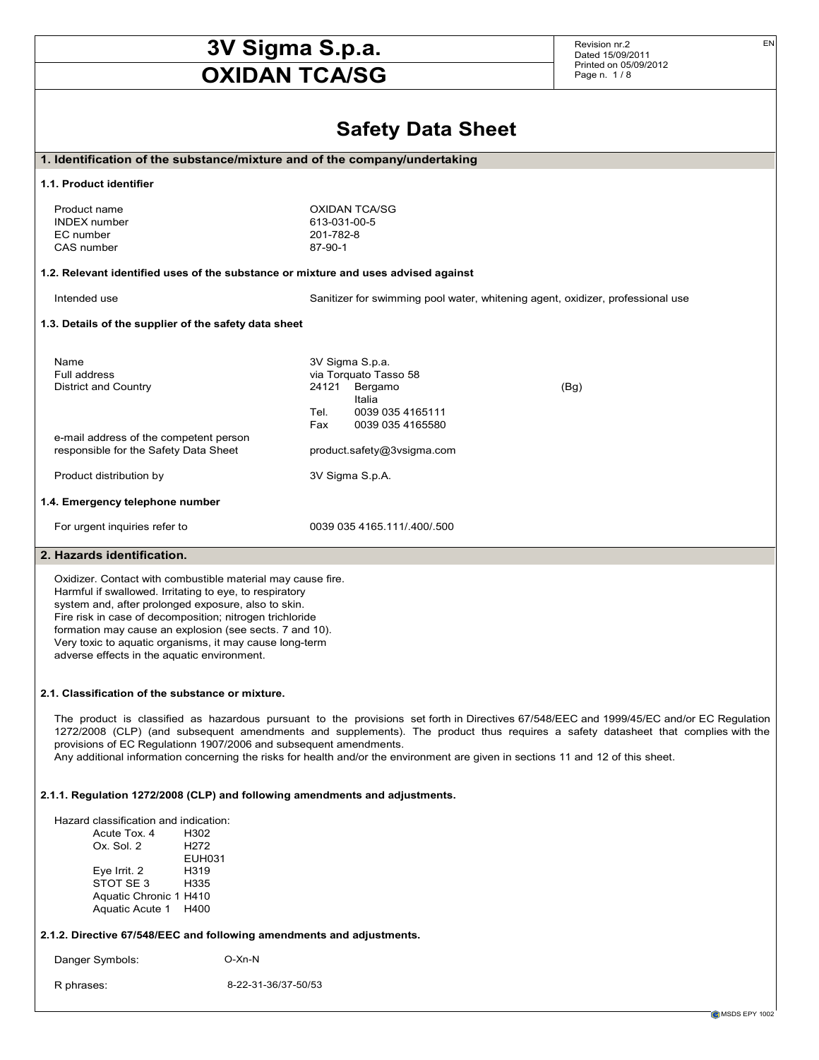# **3V Sigma S.p.a.**

## **OXIDAN TCA/SG**

Revision nr.2 Dated 15/09/2011 Printed on 05/09/2012 Page n. 1 / 8

### **Safety Data Sheet**

|                                                                                                                     | <b>OUIGIA DUIA OIIGEL</b>                                                                                                                |  |  |
|---------------------------------------------------------------------------------------------------------------------|------------------------------------------------------------------------------------------------------------------------------------------|--|--|
| 1. Identification of the substance/mixture and of the company/undertaking                                           |                                                                                                                                          |  |  |
| 1.1. Product identifier                                                                                             |                                                                                                                                          |  |  |
| Product name                                                                                                        | <b>OXIDAN TCA/SG</b>                                                                                                                     |  |  |
| <b>INDEX</b> number                                                                                                 | 613-031-00-5                                                                                                                             |  |  |
| EC number                                                                                                           | 201-782-8                                                                                                                                |  |  |
| CAS number                                                                                                          | 87-90-1                                                                                                                                  |  |  |
|                                                                                                                     | 1.2. Relevant identified uses of the substance or mixture and uses advised against                                                       |  |  |
| Intended use                                                                                                        | Sanitizer for swimming pool water, whitening agent, oxidizer, professional use                                                           |  |  |
| 1.3. Details of the supplier of the safety data sheet                                                               |                                                                                                                                          |  |  |
|                                                                                                                     |                                                                                                                                          |  |  |
| Name                                                                                                                | 3V Sigma S.p.a.                                                                                                                          |  |  |
| Full address                                                                                                        | via Torquato Tasso 58                                                                                                                    |  |  |
| <b>District and Country</b>                                                                                         | 24121<br>Bergamo<br>(Bg)                                                                                                                 |  |  |
|                                                                                                                     | Italia                                                                                                                                   |  |  |
|                                                                                                                     | 0039 035 4165111<br>Tel.                                                                                                                 |  |  |
| e-mail address of the competent person                                                                              | Fax<br>0039 035 4165580                                                                                                                  |  |  |
| responsible for the Safety Data Sheet                                                                               | product.safety@3vsigma.com                                                                                                               |  |  |
| Product distribution by                                                                                             | 3V Sigma S.p.A.                                                                                                                          |  |  |
| 1.4. Emergency telephone number                                                                                     |                                                                                                                                          |  |  |
| For urgent inquiries refer to                                                                                       | 0039 035 4165 111/ 400/ 500                                                                                                              |  |  |
| 2. Hazards identification.                                                                                          |                                                                                                                                          |  |  |
|                                                                                                                     |                                                                                                                                          |  |  |
| Oxidizer. Contact with combustible material may cause fire.                                                         |                                                                                                                                          |  |  |
| Harmful if swallowed. Irritating to eye, to respiratory                                                             |                                                                                                                                          |  |  |
| system and, after prolonged exposure, also to skin.                                                                 |                                                                                                                                          |  |  |
| Fire risk in case of decomposition; nitrogen trichloride<br>formation may cause an explosion (see sects. 7 and 10). |                                                                                                                                          |  |  |
| Very toxic to aquatic organisms, it may cause long-term                                                             |                                                                                                                                          |  |  |
| adverse effects in the aquatic environment.                                                                         |                                                                                                                                          |  |  |
|                                                                                                                     |                                                                                                                                          |  |  |
| 2.1. Classification of the substance or mixture.                                                                    |                                                                                                                                          |  |  |
|                                                                                                                     | The product is classified as hazardous pursuant to the provisions set forth in Directives 67/548/EEC and 1999/45/EC and/or EC Regulation |  |  |
|                                                                                                                     | 1272/2008 (CLP) (and subsequent amendments and supplements). The product thus requires a safety datasheet that complies with the         |  |  |
| provisions of EC Regulationn 1907/2006 and subsequent amendments.                                                   |                                                                                                                                          |  |  |
|                                                                                                                     | Any additional information concerning the risks for health and/or the environment are given in sections 11 and 12 of this sheet.         |  |  |
|                                                                                                                     | 2.1.1. Regulation 1272/2008 (CLP) and following amendments and adjustments.                                                              |  |  |
| Hazard classification and indication:                                                                               |                                                                                                                                          |  |  |
| Acute Tox. 4<br>H302                                                                                                |                                                                                                                                          |  |  |
| Ox. Sol. 2<br>H <sub>272</sub>                                                                                      |                                                                                                                                          |  |  |
| EUH031                                                                                                              |                                                                                                                                          |  |  |
| H319<br>Eye Irrit. 2                                                                                                |                                                                                                                                          |  |  |
| STOT SE 3<br>H335                                                                                                   |                                                                                                                                          |  |  |
| Aquatic Chronic 1 H410<br>Aquatic Acute 1 H400                                                                      |                                                                                                                                          |  |  |
| 2.1.2. Directive 67/548/EEC and following amendments and adjustments.                                               |                                                                                                                                          |  |  |
| Danger Symbols:                                                                                                     | O-Xn-N                                                                                                                                   |  |  |
| R phrases:                                                                                                          | 8-22-31-36/37-50/53                                                                                                                      |  |  |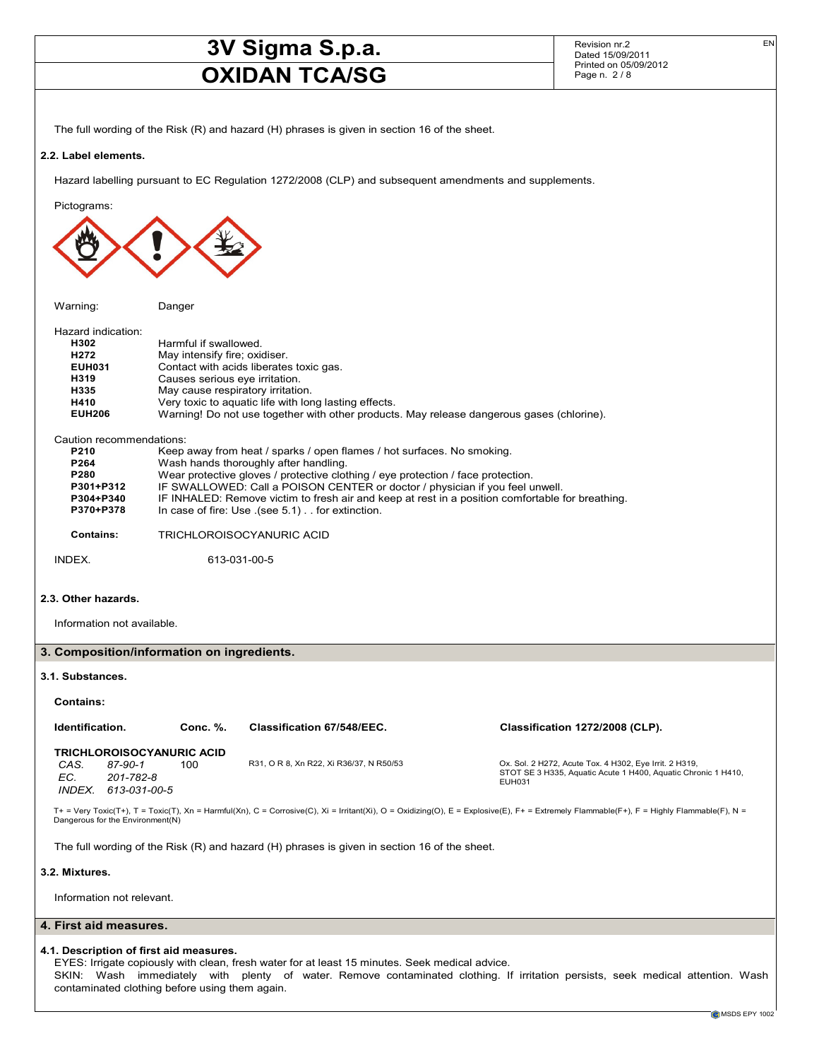Revision nr.2 Dated 15/09/2011 Printed on 05/09/2012 Page n. 2 / 8

EN

The full wording of the Risk (R) and hazard (H) phrases is given in section 16 of the sheet.

#### **2.2. Label elements.**

Hazard labelling pursuant to EC Regulation 1272/2008 (CLP) and subsequent amendments and supplements.

Pictograms:

Warning: Danger

| Hazard indication: |                                                                                           |
|--------------------|-------------------------------------------------------------------------------------------|
| H302               | Harmful if swallowed.                                                                     |
| H <sub>272</sub>   | May intensify fire; oxidiser.                                                             |
| <b>EUH031</b>      | Contact with acids liberates toxic gas.                                                   |
| H319               | Causes serious eye irritation.                                                            |
| H335               | May cause respiratory irritation.                                                         |
| H410               | Very toxic to aguatic life with long lasting effects.                                     |
| <b>EUH206</b>      | Warning! Do not use together with other products. May release dangerous gases (chlorine). |
|                    |                                                                                           |

Caution recommendations:

| P210      | Keep away from heat / sparks / open flames / hot surfaces. No smoking.                           |
|-----------|--------------------------------------------------------------------------------------------------|
| P264      | Wash hands thoroughly after handling.                                                            |
| P280      | Wear protective gloves / protective clothing / eye protection / face protection.                 |
| P301+P312 | IF SWALLOWED: Call a POISON CENTER or doctor / physician if you feel unwell.                     |
| P304+P340 | IF INHALED: Remove victim to fresh air and keep at rest in a position comfortable for breathing. |
| P370+P378 | In case of fire: Use (see 5.1). for extinction.                                                  |
|           |                                                                                                  |

**Contains:** TRICHLOROISOCYANURIC ACID

INDEX. 613-031-00-5

#### **2.3. Other hazards.**

Information not available.

#### **3. Composition/information on ingredients.**

#### **3.1. Substances.**

#### **Contains:**

| Identification.                  |                                   | Conc. %. | Classification 67/548/EEC.              | Classification 1272/2008 (CLP).                                                                                                                                                             |  |
|----------------------------------|-----------------------------------|----------|-----------------------------------------|---------------------------------------------------------------------------------------------------------------------------------------------------------------------------------------------|--|
| <b>TRICHLOROISOCYANURIC ACID</b> |                                   |          |                                         |                                                                                                                                                                                             |  |
| CAS.<br>EC.                      | 87-90-1<br>201-782-8              | 100      | R31, O R 8, Xn R22, Xi R36/37, N R50/53 | Ox. Sol. 2 H272, Acute Tox. 4 H302, Eye Irrit. 2 H319,<br>STOT SE 3 H335, Aquatic Acute 1 H400, Aquatic Chronic 1 H410,<br><b>EUH031</b>                                                    |  |
| <b>INDFX</b>                     | 613-031-00-5                      |          |                                         |                                                                                                                                                                                             |  |
|                                  | Dangerous for the Environment (N) |          |                                         | $T^+$ = Very Toxic(T+), T = Toxic(T), Xn = Harmful(Xn), C = Corrosive(C), Xi = Irritant(Xi), O = Oxidizing(O), E = Explosive(E), F+ = Extremely Flammable(F+), F = Highly Flammable(F), N = |  |

The full wording of the Risk (R) and hazard (H) phrases is given in section 16 of the sheet.

#### **3.2. Mixtures.**

Information not relevant.

#### **4. First aid measures.**

#### **4.1. Description of first aid measures.**

EYES: Irrigate copiously with clean, fresh water for at least 15 minutes. Seek medical advice.

SKIN: Wash immediately with plenty of water. Remove contaminated clothing. If irritation persists, seek medical attention. Wash contaminated clothing before using them again.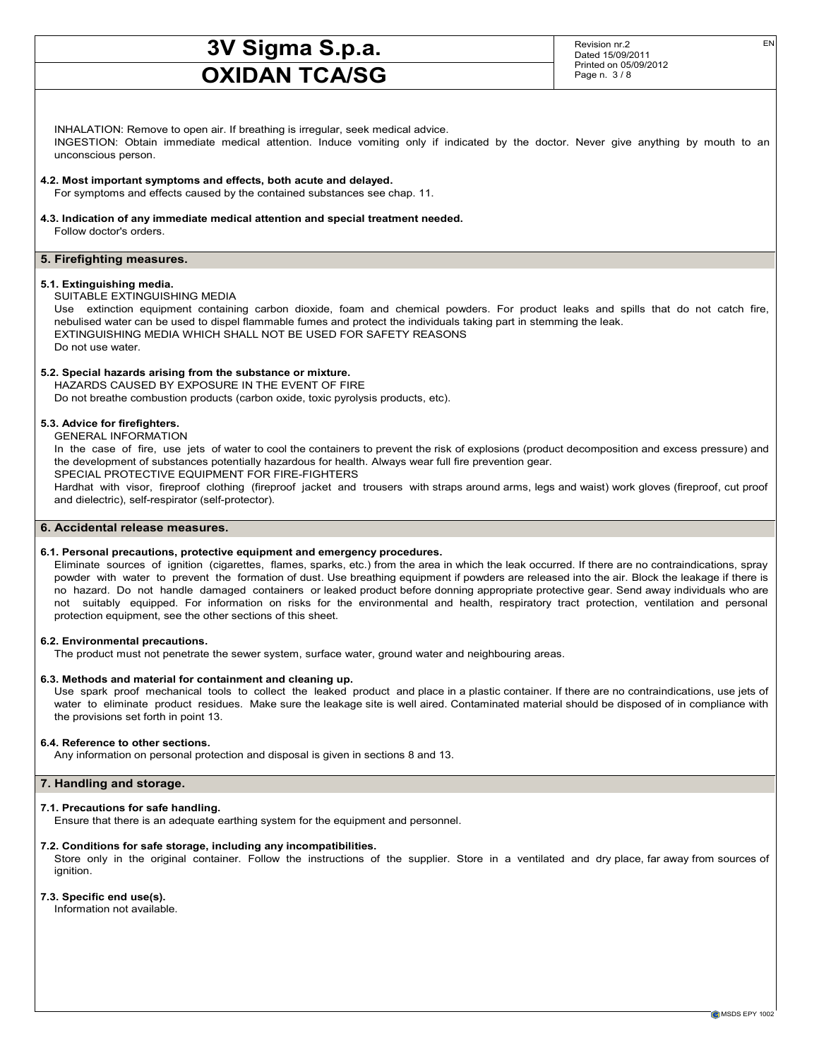Revision nr.2 Dated 15/09/2011 Printed on 05/09/2012 Page n. 3 / 8

EN

INHALATION: Remove to open air. If breathing is irregular, seek medical advice. INGESTION: Obtain immediate medical attention. Induce vomiting only if indicated by the doctor. Never give anything by mouth to an unconscious person.

#### **4.2. Most important symptoms and effects, both acute and delayed.**

For symptoms and effects caused by the contained substances see chap. 11.

**4.3. Indication of any immediate medical attention and special treatment needed.**

Follow doctor's orders.

#### **5. Firefighting measures.**

#### **5.1. Extinguishing media.**

SUITABLE EXTINGUISHING MEDIA

Use extinction equipment containing carbon dioxide, foam and chemical powders. For product leaks and spills that do not catch fire, nebulised water can be used to dispel flammable fumes and protect the individuals taking part in stemming the leak. EXTINGUISHING MEDIA WHICH SHALL NOT BE USED FOR SAFETY REASONS Do not use water.

#### **5.2. Special hazards arising from the substance or mixture.**

HAZARDS CAUSED BY EXPOSURE IN THE EVENT OF FIRE Do not breathe combustion products (carbon oxide, toxic pyrolysis products, etc).

#### **5.3. Advice for firefighters.**

GENERAL INFORMATION

In the case of fire, use jets of water to cool the containers to prevent the risk of explosions (product decomposition and excess pressure) and the development of substances potentially hazardous for health. Always wear full fire prevention gear. SPECIAL PROTECTIVE EQUIPMENT FOR FIRE-FIGHTERS

Hardhat with visor, fireproof clothing (fireproof jacket and trousers with straps around arms, legs and waist) work gloves (fireproof, cut proof and dielectric), self-respirator (self-protector).

#### **6. Accidental release measures.**

#### **6.1. Personal precautions, protective equipment and emergency procedures.**

Eliminate sources of ignition (cigarettes, flames, sparks, etc.) from the area in which the leak occurred. If there are no contraindications, spray powder with water to prevent the formation of dust. Use breathing equipment if powders are released into the air. Block the leakage if there is no hazard. Do not handle damaged containers or leaked product before donning appropriate protective gear. Send away individuals who are not suitably equipped. For information on risks for the environmental and health, respiratory tract protection, ventilation and personal protection equipment, see the other sections of this sheet.

#### **6.2. Environmental precautions.**

The product must not penetrate the sewer system, surface water, ground water and neighbouring areas.

#### **6.3. Methods and material for containment and cleaning up.**

Use spark proof mechanical tools to collect the leaked product and place in a plastic container. If there are no contraindications, use jets of water to eliminate product residues. Make sure the leakage site is well aired. Contaminated material should be disposed of in compliance with the provisions set forth in point 13.

#### **6.4. Reference to other sections.**

Any information on personal protection and disposal is given in sections 8 and 13.

#### **7. Handling and storage.**

#### **7.1. Precautions for safe handling.**

Ensure that there is an adequate earthing system for the equipment and personnel.

#### **7.2. Conditions for safe storage, including any incompatibilities.**

Store only in the original container. Follow the instructions of the supplier. Store in a ventilated and dry place, far away from sources of ignition.

#### **7.3. Specific end use(s).**

Information not available.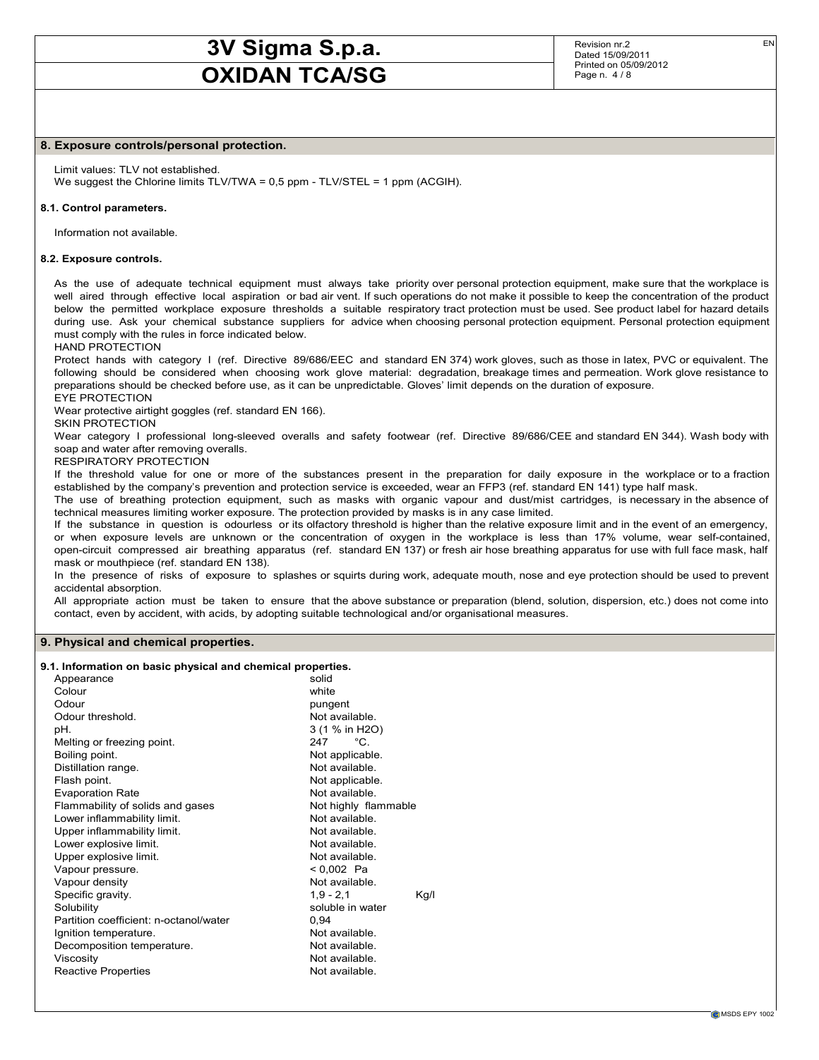Revision nr.2 Dated 15/09/2011 Printed on 05/09/2012 Page n. 4 / 8

#### **8. Exposure controls/personal protection.**

Limit values: TLV not established. We suggest the Chlorine limits TLV/TWA = 0,5 ppm - TLV/STEL = 1 ppm (ACGIH).

#### **8.1. Control parameters.**

Information not available.

#### **8.2. Exposure controls.**

As the use of adequate technical equipment must always take priority over personal protection equipment, make sure that the workplace is well aired through effective local aspiration or bad air vent. If such operations do not make it possible to keep the concentration of the product below the permitted workplace exposure thresholds a suitable respiratory tract protection must be used. See product label for hazard details during use. Ask your chemical substance suppliers for advice when choosing personal protection equipment. Personal protection equipment must comply with the rules in force indicated below.

HAND PROTECTION

Protect hands with category I (ref. Directive 89/686/EEC and standard EN 374) work gloves, such as those in latex, PVC or equivalent. The following should be considered when choosing work glove material: degradation, breakage times and permeation. Work glove resistance to preparations should be checked before use, as it can be unpredictable. Gloves' limit depends on the duration of exposure. EYE PROTECTION

Wear protective airtight goggles (ref. standard EN 166).

SKIN PROTECTION

Wear category I professional long-sleeved overalls and safety footwear (ref. Directive 89/686/CEE and standard EN 344). Wash body with soap and water after removing overalls.

RESPIRATORY PROTECTION

If the threshold value for one or more of the substances present in the preparation for daily exposure in the workplace or to a fraction established by the company's prevention and protection service is exceeded, wear an FFP3 (ref. standard EN 141) type half mask.

The use of breathing protection equipment, such as masks with organic vapour and dust/mist cartridges, is necessary in the absence of technical measures limiting worker exposure. The protection provided by masks is in any case limited.

If the substance in question is odourless or its olfactory threshold is higher than the relative exposure limit and in the event of an emergency, or when exposure levels are unknown or the concentration of oxygen in the workplace is less than 17% volume, wear self-contained, open-circuit compressed air breathing apparatus (ref. standard EN 137) or fresh air hose breathing apparatus for use with full face mask, half mask or mouthpiece (ref. standard EN 138).

In the presence of risks of exposure to splashes or squirts during work, adequate mouth, nose and eye protection should be used to prevent accidental absorption.

All appropriate action must be taken to ensure that the above substance or preparation (blend, solution, dispersion, etc.) does not come into contact, even by accident, with acids, by adopting suitable technological and/or organisational measures.

#### **9. Physical and chemical properties.**

#### **9.1. Information on basic physical and chemical properties.**

| Appearance                             | solid                |
|----------------------------------------|----------------------|
| Colour                                 | white                |
| Odour                                  | pungent              |
| Odour threshold.                       | Not available.       |
| pH.                                    | 3 (1 % in H2O)       |
| Melting or freezing point.             | $^{\circ}$ C<br>247  |
| Boiling point.                         | Not applicable.      |
| Distillation range.                    | Not available.       |
| Flash point.                           | Not applicable.      |
| <b>Evaporation Rate</b>                | Not available.       |
| Flammability of solids and gases       | Not highly flammable |
| Lower inflammability limit.            | Not available.       |
| Upper inflammability limit.            | Not available.       |
| Lower explosive limit.                 | Not available.       |
| Upper explosive limit.                 | Not available.       |
| Vapour pressure.                       | < 0,002 Pa           |
| Vapour density                         | Not available.       |
| Specific gravity.                      | $1,9 - 2,1$<br>Kg/l  |
| Solubility                             | soluble in water     |
| Partition coefficient: n-octanol/water | 0.94                 |
| Ignition temperature.                  | Not available.       |
| Decomposition temperature.             | Not available.       |
| Viscosity                              | Not available.       |
| Reactive Properties                    | Not available.       |
|                                        |                      |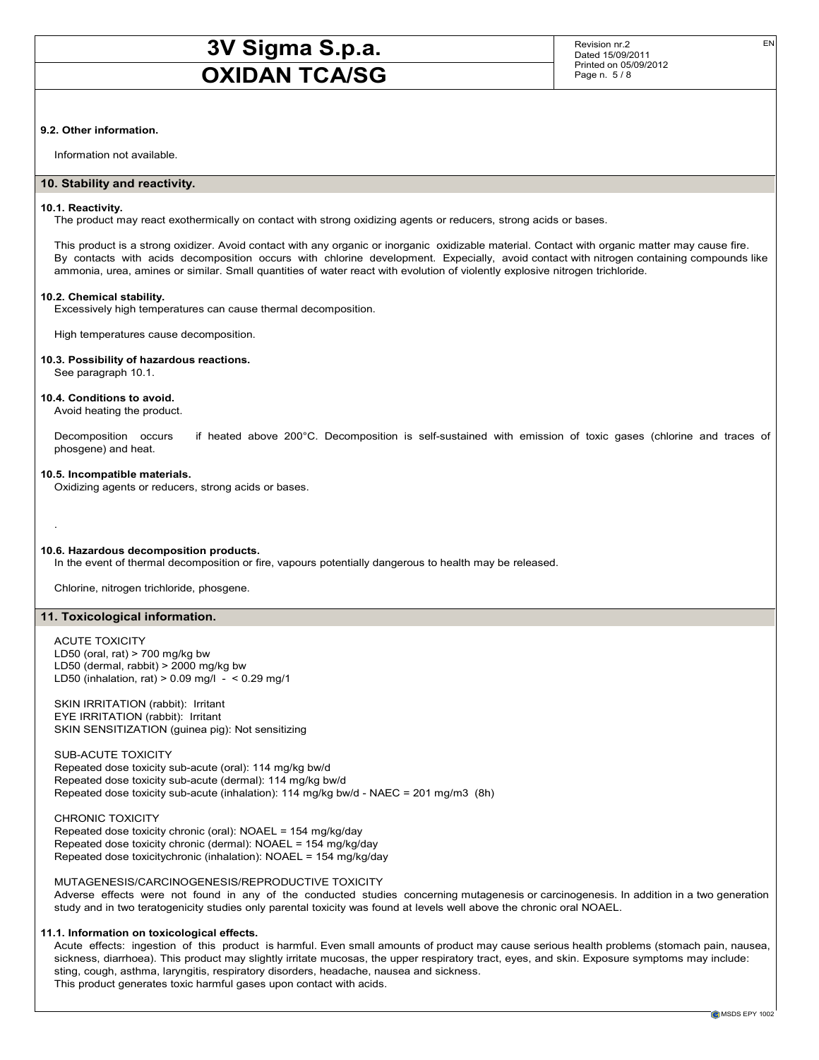Revision nr.2 Dated 15/09/2011 Printed on 05/09/2012 Page n. 5 / 8

#### **9.2. Other information.**

Information not available.

#### **10. Stability and reactivity.**

#### **10.1. Reactivity.**

The product may react exothermically on contact with strong oxidizing agents or reducers, strong acids or bases.

This product is a strong oxidizer. Avoid contact with any organic or inorganic oxidizable material. Contact with organic matter may cause fire. By contacts with acids decomposition occurs with chlorine development. Expecially, avoid contact with nitrogen containing compounds like ammonia, urea, amines or similar. Small quantities of water react with evolution of violently explosive nitrogen trichloride.

#### **10.2. Chemical stability.**

Excessively high temperatures can cause thermal decomposition.

High temperatures cause decomposition.

#### **10.3. Possibility of hazardous reactions.**

See paragraph 10.1.

#### **10.4. Conditions to avoid.**

Avoid heating the product.

Decomposition occurs if heated above 200°C. Decomposition is self-sustained with emission of toxic gases (chlorine and traces of phosgene) and heat.

#### **10.5. Incompatible materials.**

Oxidizing agents or reducers, strong acids or bases.

#### **10.6. Hazardous decomposition products.**

In the event of thermal decomposition or fire, vapours potentially dangerous to health may be released.

Chlorine, nitrogen trichloride, phosgene.

#### **11. Toxicological information.**

#### ACUTE TOXICITY

.

LD50 (oral, rat)  $> 700$  mg/kg bw LD50 (dermal, rabbit) > 2000 mg/kg bw LD50 (inhalation, rat)  $> 0.09$  mg/l -  $< 0.29$  mg/1

SKIN IRRITATION (rabbit): Irritant EYE IRRITATION (rabbit): Irritant SKIN SENSITIZATION (guinea pig): Not sensitizing

SUB-ACUTE TOXICITY Repeated dose toxicity sub-acute (oral): 114 mg/kg bw/d Repeated dose toxicity sub-acute (dermal): 114 mg/kg bw/d Repeated dose toxicity sub-acute (inhalation): 114 mg/kg bw/d - NAEC = 201 mg/m3 (8h)

CHRONIC TOXICITY Repeated dose toxicity chronic (oral): NOAEL = 154 mg/kg/day Repeated dose toxicity chronic (dermal): NOAEL = 154 mg/kg/day Repeated dose toxicitychronic (inhalation): NOAEL = 154 mg/kg/day

MUTAGENESIS/CARCINOGENESIS/REPRODUCTIVE TOXICITY

Adverse effects were not found in any of the conducted studies concerning mutagenesis or carcinogenesis. In addition in a two generation study and in two teratogenicity studies only parental toxicity was found at levels well above the chronic oral NOAEL.

#### **11.1. Information on toxicological effects.**

Acute effects: ingestion of this product is harmful. Even small amounts of product may cause serious health problems (stomach pain, nausea, sickness, diarrhoea). This product may slightly irritate mucosas, the upper respiratory tract, eyes, and skin. Exposure symptoms may include: sting, cough, asthma, laryngitis, respiratory disorders, headache, nausea and sickness. This product generates toxic harmful gases upon contact with acids.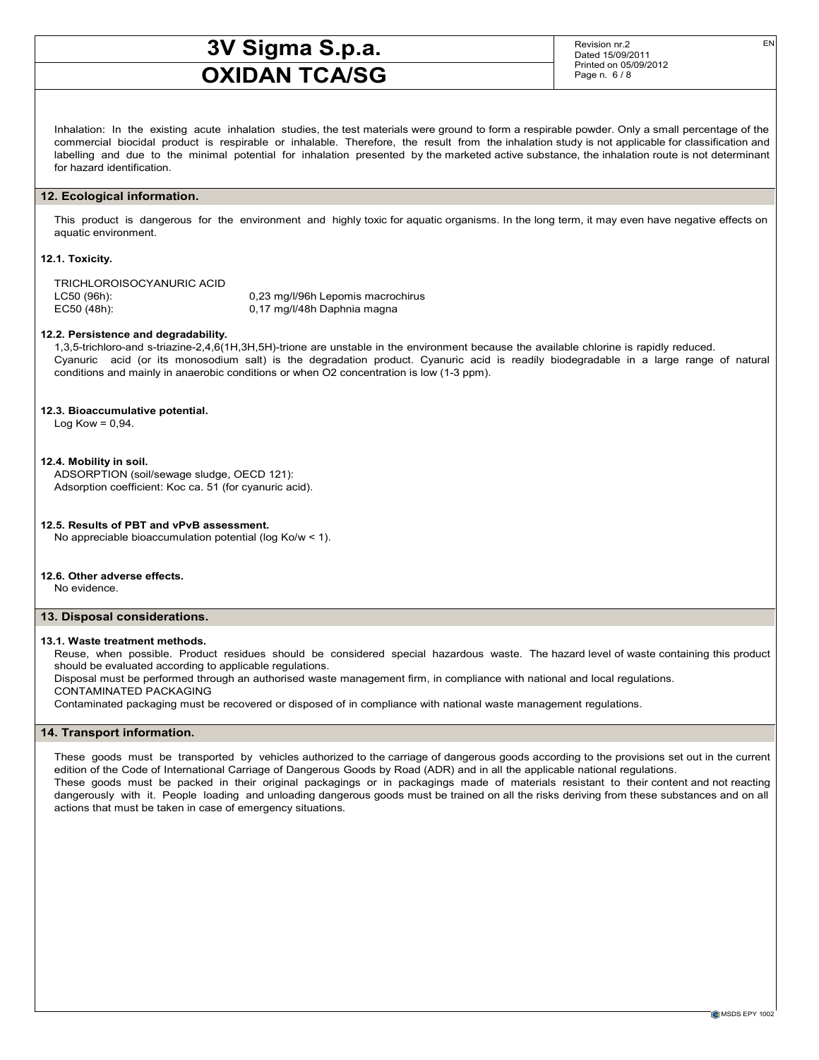Revision nr.2 Dated 15/09/2011 Printed on 05/09/2012 Page n. 6 / 8

Inhalation: In the existing acute inhalation studies, the test materials were ground to form a respirable powder. Only a small percentage of the commercial biocidal product is respirable or inhalable. Therefore, the result from the inhalation study is not applicable for classification and labelling and due to the minimal potential for inhalation presented by the marketed active substance, the inhalation route is not determinant for hazard identification.

#### **12. Ecological information.**

This product is dangerous for the environment and highly toxic for aquatic organisms. In the long term, it may even have negative effects on aquatic environment.

#### **12.1. Toxicity.**

TRICHLOROISOCYANURIC ACID LC50 (96h): 0,23 mg/l/96h Lepomis macrochirus

EC50 (48h): 0,17 mg/l/48h Daphnia magna

#### **12.2. Persistence and degradability.**

1,3,5-trichloro-and s-triazine-2,4,6(1H,3H,5H)-trione are unstable in the environment because the available chlorine is rapidly reduced. Cyanuric acid (or its monosodium salt) is the degradation product. Cyanuric acid is readily biodegradable in a large range of natural conditions and mainly in anaerobic conditions or when O2 concentration is low (1-3 ppm).

#### **12.3. Bioaccumulative potential.**

Log Kow =  $0.94$ .

#### **12.4. Mobility in soil.**

ADSORPTION (soil/sewage sludge, OECD 121): Adsorption coefficient: Koc ca. 51 (for cyanuric acid).

#### **12.5. Results of PBT and vPvB assessment.**

No appreciable bioaccumulation potential (log Ko/w < 1).

#### **12.6. Other adverse effects.**

No evidence.

#### **13. Disposal considerations.**

#### **13.1. Waste treatment methods.**

Reuse, when possible. Product residues should be considered special hazardous waste. The hazard level of waste containing this product should be evaluated according to applicable regulations.

Disposal must be performed through an authorised waste management firm, in compliance with national and local regulations. CONTAMINATED PACKAGING

Contaminated packaging must be recovered or disposed of in compliance with national waste management regulations.

#### **14. Transport information.**

These goods must be transported by vehicles authorized to the carriage of dangerous goods according to the provisions set out in the current edition of the Code of International Carriage of Dangerous Goods by Road (ADR) and in all the applicable national regulations. These goods must be packed in their original packagings or in packagings made of materials resistant to their content and not reacting dangerously with it. People loading and unloading dangerous goods must be trained on all the risks deriving from these substances and on all actions that must be taken in case of emergency situations.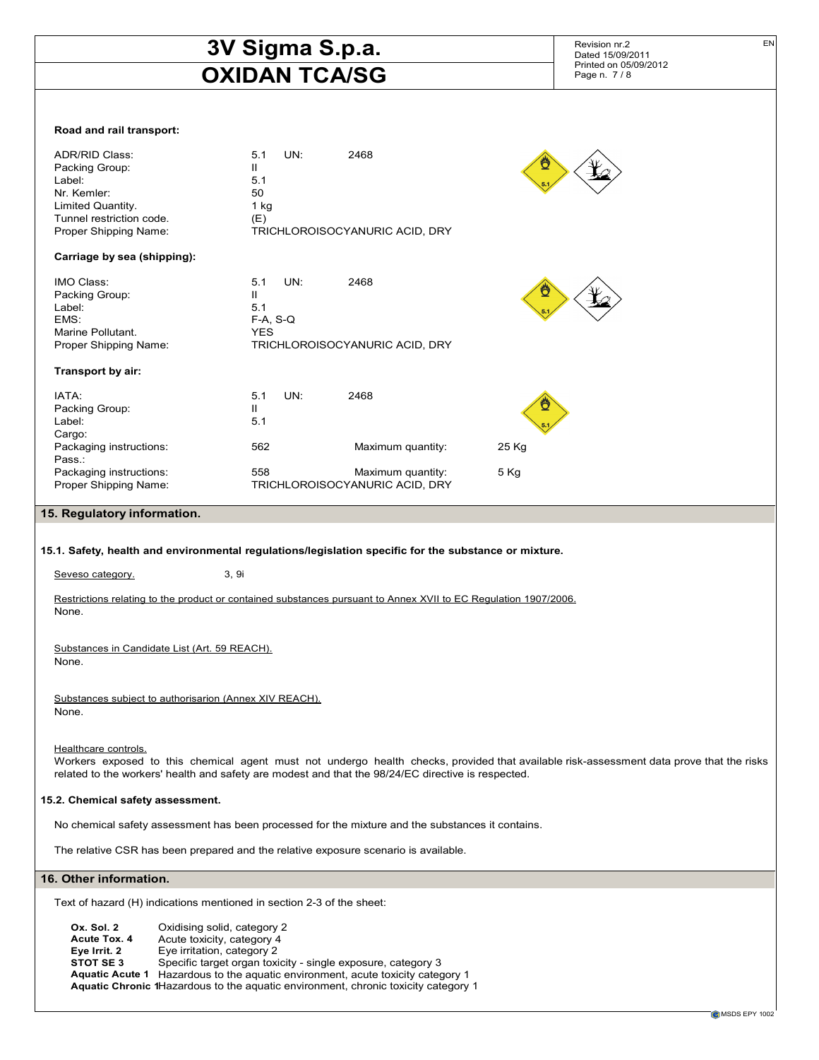### **3V Sigma S.p.a. OXIDAN TCA/SG** Revision nr.2 Dated 15/09/2011 Printed on 05/09/2012 Page n. 7 / 8 EN **Road and rail transport:** ADR/RID Class: 5.1 UN: 2468 Packing Group: II<br>
Label: 5.1 Label: Nr. Kemler: 50<br>
Limited Quantity. 1 kg Limited Quantity. 1 kg<br>Tunnel restriction code. (E) Tunnel restriction code. Proper Shipping Name: TRICHLOROISOCYANURIC ACID, DRY **Carriage by sea (shipping):** IMO Class: 5.1 UN: 2468 Packing Group: II Label: 5.1 EMS: F-A, S-Q Marine Pollutant. The Marine Pollutant. Proper Shipping Name: TRICHLOROISOCYANURIC ACID, DRY **Transport by air:** IATA: 5.1 UN: 2468 Packing Group: II Label: 5.1 Cargo: Packaging instructions: 562 Maximum quantity: 25 Kg Pass.: Packaging instructions:  $558$  Maximum quantity:  $5\text{ kg}$ Proper Shipping Name: TRICHLOROISOCYANURIC ACID, DRY **15. Regulatory information. 15.1. Safety, health and environmental regulations/legislation specific for the substance or mixture.** Seveso category. 3, 9i Restrictions relating to the product or contained substances pursuant to Annex XVII to EC Regulation 1907/2006. None. Substances in Candidate List (Art. 59 REACH). None. Substances subject to authorisarion (Annex XIV REACH). None. Healthcare controls. Workers exposed to this chemical agent must not undergo health checks, provided that available risk-assessment data prove that the risks related to the workers' health and safety are modest and that the 98/24/EC directive is respected. **15.2. Chemical safety assessment.** No chemical safety assessment has been processed for the mixture and the substances it contains. The relative CSR has been prepared and the relative exposure scenario is available. **16. Other information.** Text of hazard (H) indications mentioned in section 2-3 of the sheet: **Ox. Sol. 2** Oxidising solid, category 2 **Acute Tox. 4** Acute toxicity, category 4<br>**Eye Irrit. 2** Eye irritation, category 2 **Eye Irrit. 2** Eye irritation, category 2<br>**STOT SE 3** Specific target organ toxi Specific target organ toxicity - single exposure, category 3

**Aquatic Acute 1** Hazardous to the aquatic environment, acute toxicity category 1

**Aquatic Chronic 1**Hazardous to the aquatic environment, chronic toxicity category 1